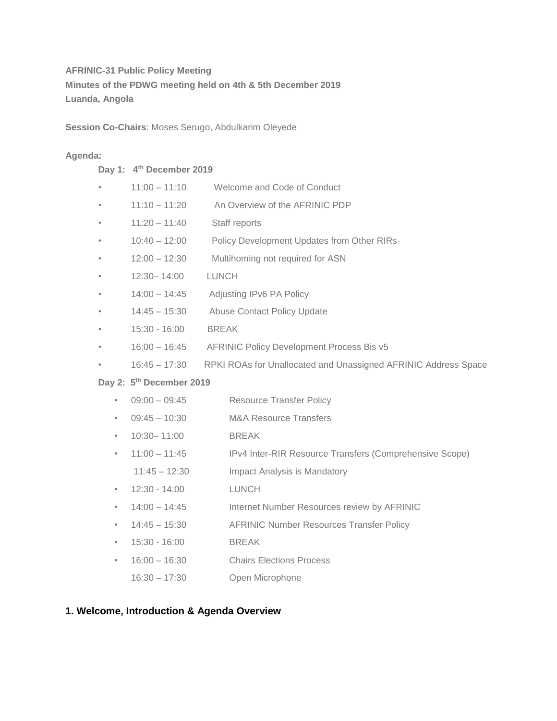# **AFRINIC-31 Public Policy Meeting Minutes of the PDWG meeting held on 4th & 5th December 2019 Luanda, Angola**

**Session Co-Chairs**: Moses Serugo, Abdulkarim Oleyede

# **Agenda:**

### **Day 1: 4th December 2019**

|--|

- 11:10 11:20 An Overview of the AFRINIC PDP
- 11:20 11:40 Staff reports
- 10:40 12:00 Policy Development Updates from Other RIRs
- 12:00 12:30 Multihoming not required for ASN
- 12:30– 14:00 LUNCH
- 14:00 14:45 Adjusting IPv6 PA Policy
- 14:45 15:30 Abuse Contact Policy Update
- 15:30 16:00 BREAK
- 16:00 16:45 AFRINIC Policy Development Process Bis v5
- 16:45 17:30 RPKI ROAs for Unallocated and Unassigned AFRINIC Address Space

# **Day 2: 5th December 2019**

- 09:00 09:45 Resource Transfer Policy
- 09:45 10:30 M&A Resource Transfers
- 10:30– 11:00 BREAK
- 11:00 11:45 IPv4 Inter-RIR Resource Transfers (Comprehensive Scope) 11:45 – 12:30 Impact Analysis is Mandatory
- 12:30 14:00 LUNCH
- 14:00 14:45 Internet Number Resources review by AFRINIC
- 14:45 15:30 AFRINIC Number Resources Transfer Policy
- 15:30 16:00 BREAK
- 16:00 16:30 Chairs Elections Process
- 16:30 17:30 Open Microphone

# **1. Welcome, Introduction & Agenda Overview**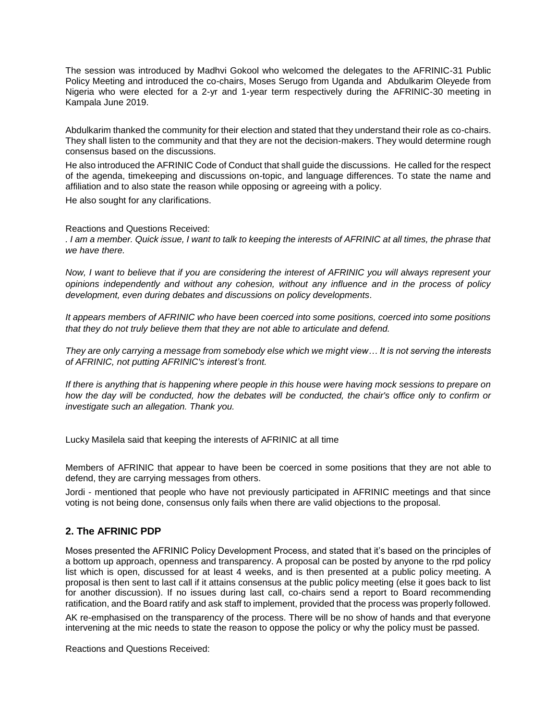The session was introduced by Madhvi Gokool who welcomed the delegates to the AFRINIC-31 Public Policy Meeting and introduced the co-chairs, Moses Serugo from Uganda and Abdulkarim Oleyede from Nigeria who were elected for a 2-yr and 1-year term respectively during the AFRINIC-30 meeting in Kampala June 2019.

Abdulkarim thanked the community for their election and stated that they understand their role as co-chairs. They shall listen to the community and that they are not the decision-makers. They would determine rough consensus based on the discussions.

He also introduced the AFRINIC Code of Conduct that shall guide the discussions. He called for the respect of the agenda, timekeeping and discussions on-topic, and language differences. To state the name and affiliation and to also state the reason while opposing or agreeing with a policy.

He also sought for any clarifications.

Reactions and Questions Received:

*. I am a member. Quick issue, I want to talk to keeping the interests of AFRINIC at all times, the phrase that we have there.* 

*Now, I want to believe that if you are considering the interest of AFRINIC you will always represent your opinions independently and without any cohesion, without any influence and in the process of policy development, even during debates and discussions on policy developments.* 

*It appears members of AFRINIC who have been coerced into some positions, coerced into some positions that they do not truly believe them that they are not able to articulate and defend.* 

*They are only carrying a message from somebody else which we might view… It is not serving the interests of AFRINIC, not putting AFRINIC's interest's front.* 

*If there is anything that is happening where people in this house were having mock sessions to prepare on how the day will be conducted, how the debates will be conducted, the chair's office only to confirm or investigate such an allegation. Thank you.* 

Lucky Masilela said that keeping the interests of AFRINIC at all time

Members of AFRINIC that appear to have been be coerced in some positions that they are not able to defend, they are carrying messages from others.

Jordi - mentioned that people who have not previously participated in AFRINIC meetings and that since voting is not being done, consensus only fails when there are valid objections to the proposal.

# **2. The AFRINIC PDP**

Moses presented the AFRINIC Policy Development Process, and stated that it's based on the principles of a bottom up approach, openness and transparency. A proposal can be posted by anyone to the rpd policy list which is open, discussed for at least 4 weeks, and is then presented at a public policy meeting. A proposal is then sent to last call if it attains consensus at the public policy meeting (else it goes back to list for another discussion). If no issues during last call, co-chairs send a report to Board recommending ratification, and the Board ratify and ask staff to implement, provided that the process was properly followed.

AK re-emphasised on the transparency of the process. There will be no show of hands and that everyone intervening at the mic needs to state the reason to oppose the policy or why the policy must be passed.

Reactions and Questions Received: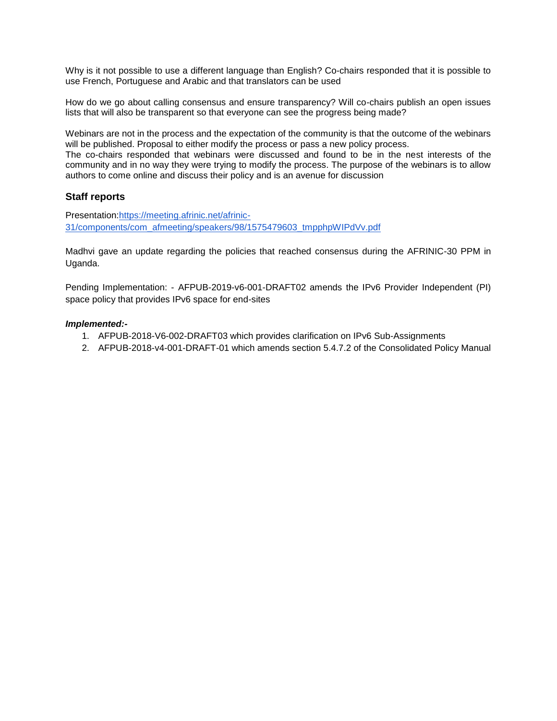Why is it not possible to use a different language than English? Co-chairs responded that it is possible to use French, Portuguese and Arabic and that translators can be used

How do we go about calling consensus and ensure transparency? Will co-chairs publish an open issues lists that will also be transparent so that everyone can see the progress being made?

Webinars are not in the process and the expectation of the community is that the outcome of the webinars will be published. Proposal to either modify the process or pass a new policy process.

The co-chairs responded that webinars were discussed and found to be in the nest interests of the community and in no way they were trying to modify the process. The purpose of the webinars is to allow authors to come online and discuss their policy and is an avenue for discussion

#### **Staff reports**

Presentation[:https://meeting.afrinic.net/afrinic-](https://meeting.afrinic.net/afrinic-31/components/com_afmeeting/speakers/98/1575479603_tmpphpWIPdVv.pdf)[31/components/com\\_afmeeting/speakers/98/1575479603\\_tmpphpWIPdVv.pdf](https://meeting.afrinic.net/afrinic-31/components/com_afmeeting/speakers/98/1575479603_tmpphpWIPdVv.pdf)

Madhvi gave an update regarding the policies that reached consensus during the AFRINIC-30 PPM in Uganda.

Pending Implementation: - AFPUB-2019-v6-001-DRAFT02 amends the IPv6 Provider Independent (PI) space policy that provides IPv6 space for end-sites

#### *Implemented:-*

- 1. AFPUB-2018-V6-002-DRAFT03 which provides clarification on IPv6 Sub-Assignments
- 2. AFPUB-2018-v4-001-DRAFT-01 which amends section 5.4.7.2 of the Consolidated Policy Manual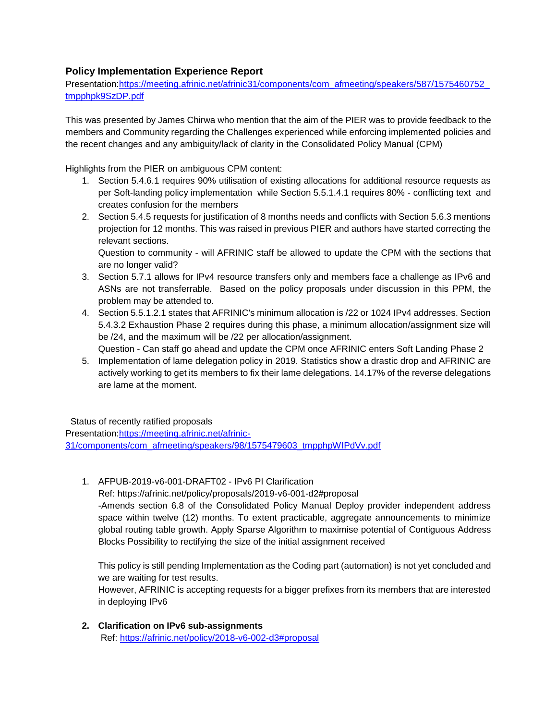# **Policy Implementation Experience Report**

Presentation[:https://meeting.afrinic.net/afrinic31/components/com\\_afmeeting/speakers/587/1575460752\\_](https://meeting.afrinic.net/afrinic31/components/com_afmeeting/speakers/587/1575460752_tmpphpk9SzDP.pdf) [tmpphpk9SzDP.pdf](https://meeting.afrinic.net/afrinic31/components/com_afmeeting/speakers/587/1575460752_tmpphpk9SzDP.pdf)

This was presented by James Chirwa who mention that the aim of the PIER was to provide feedback to the members and Community regarding the Challenges experienced while enforcing implemented policies and the recent changes and any ambiguity/lack of clarity in the Consolidated Policy Manual (CPM)

Highlights from the PIER on ambiguous CPM content:

- 1. Section 5.4.6.1 requires 90% utilisation of existing allocations for additional resource requests as per Soft-landing policy implementation while Section 5.5.1.4.1 requires 80% - conflicting text and creates confusion for the members
- 2. Section 5.4.5 requests for justification of 8 months needs and conflicts with Section 5.6.3 mentions projection for 12 months. This was raised in previous PIER and authors have started correcting the relevant sections.

Question to community - will AFRINIC staff be allowed to update the CPM with the sections that are no longer valid?

- 3. Section 5.7.1 allows for IPv4 resource transfers only and members face a challenge as IPv6 and ASNs are not transferrable. Based on the policy proposals under discussion in this PPM, the problem may be attended to.
- 4. Section 5.5.1.2.1 states that AFRINIC's minimum allocation is /22 or 1024 IPv4 addresses. Section 5.4.3.2 Exhaustion Phase 2 requires during this phase, a minimum allocation/assignment size will be /24, and the maximum will be /22 per allocation/assignment. Question - Can staff go ahead and update the CPM once AFRINIC enters Soft Landing Phase 2
- 5. Implementation of lame delegation policy in 2019. Statistics show a drastic drop and AFRINIC are actively working to get its members to fix their lame delegations. 14.17% of the reverse delegations are lame at the moment.

Status of recently ratified proposals

Presentation[:https://meeting.afrinic.net/afrinic-](https://meeting.afrinic.net/afrinic-31/components/com_afmeeting/speakers/98/1575479603_tmpphpWIPdVv.pdf)[31/components/com\\_afmeeting/speakers/98/1575479603\\_tmpphpWIPdVv.pdf](https://meeting.afrinic.net/afrinic-31/components/com_afmeeting/speakers/98/1575479603_tmpphpWIPdVv.pdf)

1. AFPUB-2019-v6-001-DRAFT02 - IPv6 PI Clarification

Ref: https://afrinic.net/policy/proposals/2019-v6-001-d2#proposal -Amends section 6.8 of the Consolidated Policy Manual Deploy provider independent address space within twelve (12) months. To extent practicable, aggregate announcements to minimize global routing table growth. Apply Sparse Algorithm to maximise potential of Contiguous Address Blocks Possibility to rectifying the size of the initial assignment received

This policy is still pending Implementation as the Coding part (automation) is not yet concluded and we are waiting for test results.

However, AFRINIC is accepting requests for a bigger prefixes from its members that are interested in deploying IPv6

**2. Clarification on IPv6 sub-assignments**  Ref:<https://afrinic.net/policy/2018-v6-002-d3#proposal>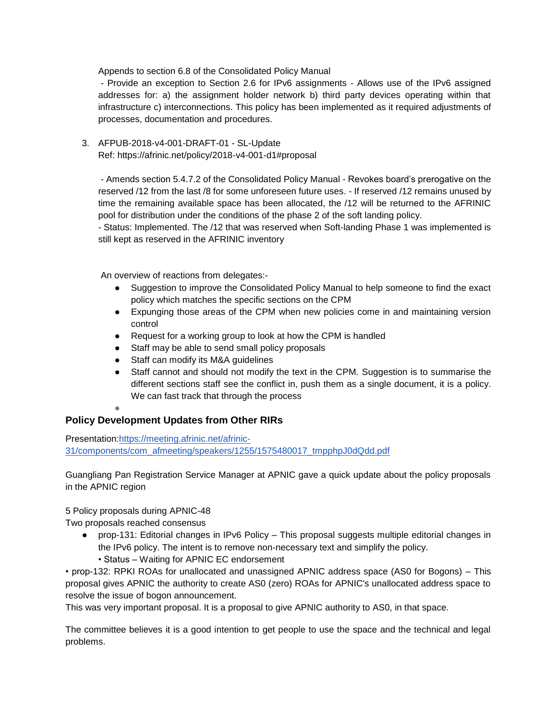Appends to section 6.8 of the Consolidated Policy Manual

- Provide an exception to Section 2.6 for IPv6 assignments - Allows use of the IPv6 assigned addresses for: a) the assignment holder network b) third party devices operating within that infrastructure c) interconnections. This policy has been implemented as it required adjustments of processes, documentation and procedures.

3. AFPUB-2018-v4-001-DRAFT-01 - SL-Update Ref: https://afrinic.net/policy/2018-v4-001-d1#proposal

- Amends section 5.4.7.2 of the Consolidated Policy Manual - Revokes board's prerogative on the reserved /12 from the last /8 for some unforeseen future uses. - If reserved /12 remains unused by time the remaining available space has been allocated, the /12 will be returned to the AFRINIC pool for distribution under the conditions of the phase 2 of the soft landing policy.

- Status: Implemented. The /12 that was reserved when Soft-landing Phase 1 was implemented is still kept as reserved in the AFRINIC inventory

An overview of reactions from delegates:-

- Suggestion to improve the Consolidated Policy Manual to help someone to find the exact policy which matches the specific sections on the CPM
- Expunging those areas of the CPM when new policies come in and maintaining version control
- Request for a working group to look at how the CPM is handled
- Staff may be able to send small policy proposals
- Staff can modify its M&A guidelines
- Staff cannot and should not modify the text in the CPM. Suggestion is to summarise the different sections staff see the conflict in, push them as a single document, it is a policy. We can fast track that through the process

# ●

# **Policy Development Updates from Other RIRs**

Presentation[:https://meeting.afrinic.net/afrinic-](https://meeting.afrinic.net/afrinic-31/components/com_afmeeting/speakers/1255/1575480017_tmpphpJ0dQdd.pdf)[31/components/com\\_afmeeting/speakers/1255/1575480017\\_tmpphpJ0dQdd.pdf](https://meeting.afrinic.net/afrinic-31/components/com_afmeeting/speakers/1255/1575480017_tmpphpJ0dQdd.pdf)

Guangliang Pan Registration Service Manager at APNIC gave a quick update about the policy proposals in the APNIC region

5 Policy proposals during APNIC-48

Two proposals reached consensus

- prop-131: Editorial changes in IPv6 Policy This proposal suggests multiple editorial changes in the IPv6 policy. The intent is to remove non-necessary text and simplify the policy.
	- Status Waiting for APNIC EC endorsement

• prop-132: RPKI ROAs for unallocated and unassigned APNIC address space (AS0 for Bogons) – This proposal gives APNIC the authority to create AS0 (zero) ROAs for APNIC's unallocated address space to resolve the issue of bogon announcement.

This was very important proposal. It is a proposal to give APNIC authority to AS0, in that space.

The committee believes it is a good intention to get people to use the space and the technical and legal problems.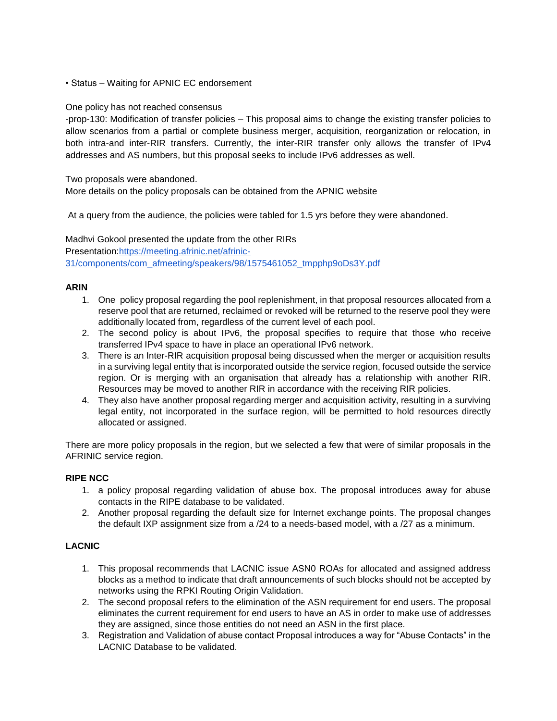• Status – Waiting for APNIC EC endorsement

#### One policy has not reached consensus

-prop-130: Modification of transfer policies – This proposal aims to change the existing transfer policies to allow scenarios from a partial or complete business merger, acquisition, reorganization or relocation, in both intra-and inter-RIR transfers. Currently, the inter-RIR transfer only allows the transfer of IPv4 addresses and AS numbers, but this proposal seeks to include IPv6 addresses as well.

Two proposals were abandoned.

More details on the policy proposals can be obtained from the APNIC website

At a query from the audience, the policies were tabled for 1.5 yrs before they were abandoned.

Madhvi Gokool presented the update from the other RIRs Presentation[:https://meeting.afrinic.net/afrinic-](https://meeting.afrinic.net/afrinic-31/components/com_afmeeting/speakers/98/1575461052_tmpphp9oDs3Y.pdf)[31/components/com\\_afmeeting/speakers/98/1575461052\\_tmpphp9oDs3Y.pdf](https://meeting.afrinic.net/afrinic-31/components/com_afmeeting/speakers/98/1575461052_tmpphp9oDs3Y.pdf)

# **ARIN**

- 1. One policy proposal regarding the pool replenishment, in that proposal resources allocated from a reserve pool that are returned, reclaimed or revoked will be returned to the reserve pool they were additionally located from, regardless of the current level of each pool.
- 2. The second policy is about IPv6, the proposal specifies to require that those who receive transferred IPv4 space to have in place an operational IPv6 network.
- 3. There is an Inter-RIR acquisition proposal being discussed when the merger or acquisition results in a surviving legal entity that is incorporated outside the service region, focused outside the service region. Or is merging with an organisation that already has a relationship with another RIR. Resources may be moved to another RIR in accordance with the receiving RIR policies.
- 4. They also have another proposal regarding merger and acquisition activity, resulting in a surviving legal entity, not incorporated in the surface region, will be permitted to hold resources directly allocated or assigned.

There are more policy proposals in the region, but we selected a few that were of similar proposals in the AFRINIC service region.

#### **RIPE NCC**

- 1. a policy proposal regarding validation of abuse box. The proposal introduces away for abuse contacts in the RIPE database to be validated.
- 2. Another proposal regarding the default size for Internet exchange points. The proposal changes the default IXP assignment size from a /24 to a needs-based model, with a /27 as a minimum.

# **LACNIC**

- 1. This proposal recommends that LACNIC issue ASN0 ROAs for allocated and assigned address blocks as a method to indicate that draft announcements of such blocks should not be accepted by networks using the RPKI Routing Origin Validation.
- 2. The second proposal refers to the elimination of the ASN requirement for end users. The proposal eliminates the current requirement for end users to have an AS in order to make use of addresses they are assigned, since those entities do not need an ASN in the first place.
- 3. Registration and Validation of abuse contact Proposal introduces a way for "Abuse Contacts" in the LACNIC Database to be validated.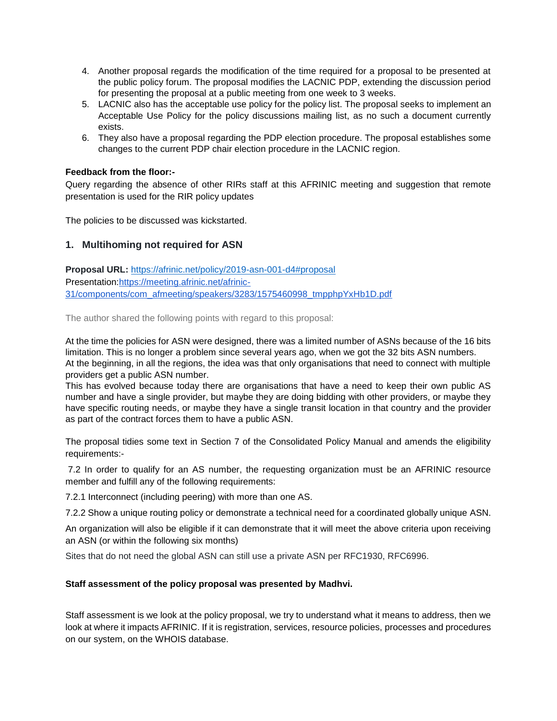- 4. Another proposal regards the modification of the time required for a proposal to be presented at the public policy forum. The proposal modifies the LACNIC PDP, extending the discussion period for presenting the proposal at a public meeting from one week to 3 weeks.
- 5. LACNIC also has the acceptable use policy for the policy list. The proposal seeks to implement an Acceptable Use Policy for the policy discussions mailing list, as no such a document currently exists.
- 6. They also have a proposal regarding the PDP election procedure. The proposal establishes some changes to the current PDP chair election procedure in the LACNIC region.

# **Feedback from the floor:-**

Query regarding the absence of other RIRs staff at this AFRINIC meeting and suggestion that remote presentation is used for the RIR policy updates

The policies to be discussed was kickstarted.

# **1. Multihoming not required for ASN**

**Proposal URL:** <https://afrinic.net/policy/2019-asn-001-d4#proposal> Presentation[:https://meeting.afrinic.net/afrinic-](https://meeting.afrinic.net/afrinic-31/components/com_afmeeting/speakers/3283/1575460998_tmpphpYxHb1D.pdf)[31/components/com\\_afmeeting/speakers/3283/1575460998\\_tmpphpYxHb1D.pdf](https://meeting.afrinic.net/afrinic-31/components/com_afmeeting/speakers/3283/1575460998_tmpphpYxHb1D.pdf)

The author shared the following points with regard to this proposal:

At the time the policies for ASN were designed, there was a limited number of ASNs because of the 16 bits limitation. This is no longer a problem since several years ago, when we got the 32 bits ASN numbers. At the beginning, in all the regions, the idea was that only organisations that need to connect with multiple providers get a public ASN number.

This has evolved because today there are organisations that have a need to keep their own public AS number and have a single provider, but maybe they are doing bidding with other providers, or maybe they have specific routing needs, or maybe they have a single transit location in that country and the provider as part of the contract forces them to have a public ASN.

The proposal tidies some text in Section 7 of the Consolidated Policy Manual and amends the eligibility requirements:-

7.2 In order to qualify for an AS number, the requesting organization must be an AFRINIC resource member and fulfill any of the following requirements:

7.2.1 Interconnect (including peering) with more than one AS.

7.2.2 Show a unique routing policy or demonstrate a technical need for a coordinated globally unique ASN.

An organization will also be eligible if it can demonstrate that it will meet the above criteria upon receiving an ASN (or within the following six months)

Sites that do not need the global ASN can still use a private ASN per RFC1930, RFC6996.

# **Staff assessment of the policy proposal was presented by Madhvi.**

Staff assessment is we look at the policy proposal, we try to understand what it means to address, then we look at where it impacts AFRINIC. If it is registration, services, resource policies, processes and procedures on our system, on the WHOIS database.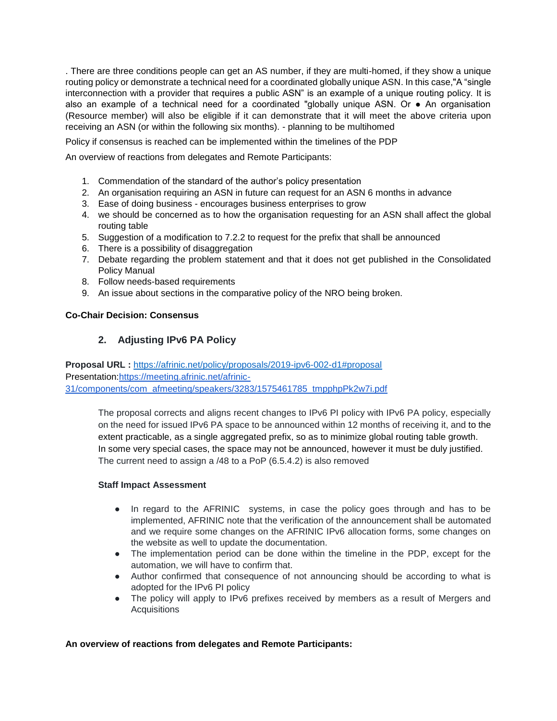. There are three conditions people can get an AS number, if they are multi-homed, if they show a unique routing policy or demonstrate a technical need for a coordinated globally unique ASN. In this case,"A "single interconnection with a provider that requires a public ASN" is an example of a unique routing policy. It is also an example of a technical need for a coordinated "globally unique ASN. Or ● An organisation (Resource member) will also be eligible if it can demonstrate that it will meet the above criteria upon receiving an ASN (or within the following six months). - planning to be multihomed

Policy if consensus is reached can be implemented within the timelines of the PDP

An overview of reactions from delegates and Remote Participants:

- 1. Commendation of the standard of the author's policy presentation
- 2. An organisation requiring an ASN in future can request for an ASN 6 months in advance
- 3. Ease of doing business encourages business enterprises to grow
- 4. we should be concerned as to how the organisation requesting for an ASN shall affect the global routing table
- 5. Suggestion of a modification to 7.2.2 to request for the prefix that shall be announced
- 6. There is a possibility of disaggregation
- 7. Debate regarding the problem statement and that it does not get published in the Consolidated Policy Manual
- 8. Follow needs-based requirements
- 9. An issue about sections in the comparative policy of the NRO being broken.

# **Co-Chair Decision: Consensus**

# **2. Adjusting IPv6 PA Policy**

**Proposal URL :** <https://afrinic.net/policy/proposals/2019-ipv6-002-d1#proposal> Presentation[:https://meeting.afrinic.net/afrinic-](https://meeting.afrinic.net/afrinic-31/components/com_afmeeting/speakers/3283/1575461785_tmpphpPk2w7i.pdf)[31/components/com\\_afmeeting/speakers/3283/1575461785\\_tmpphpPk2w7i.pdf](https://meeting.afrinic.net/afrinic-31/components/com_afmeeting/speakers/3283/1575461785_tmpphpPk2w7i.pdf)

The proposal corrects and aligns recent changes to IPv6 PI policy with IPv6 PA policy, especially on the need for issued IPv6 PA space to be announced within 12 months of receiving it, and to the extent practicable, as a single aggregated prefix, so as to minimize global routing table growth. In some very special cases, the space may not be announced, however it must be duly justified. The current need to assign a /48 to a PoP (6.5.4.2) is also removed

#### **Staff Impact Assessment**

- In regard to the AFRINIC systems, in case the policy goes through and has to be implemented, AFRINIC note that the verification of the announcement shall be automated and we require some changes on the AFRINIC IPv6 allocation forms, some changes on the website as well to update the documentation.
- The implementation period can be done within the timeline in the PDP, except for the automation, we will have to confirm that.
- Author confirmed that consequence of not announcing should be according to what is adopted for the IPv6 PI policy
- The policy will apply to IPv6 prefixes received by members as a result of Mergers and **Acquisitions**

# **An overview of reactions from delegates and Remote Participants:**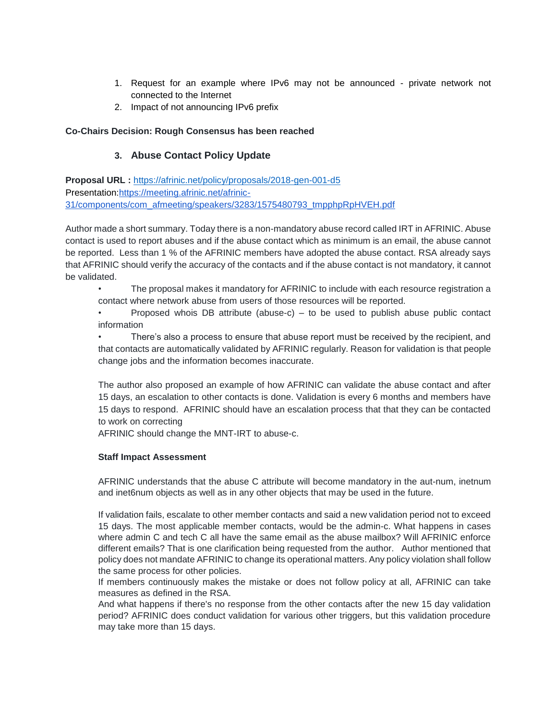- 1. Request for an example where IPv6 may not be announced private network not connected to the Internet
- 2. Impact of not announcing IPv6 prefix

#### **Co-Chairs Decision: Rough Consensus has been reached**

# **3. Abuse Contact Policy Update**

**Proposal URL :** <https://afrinic.net/policy/proposals/2018-gen-001-d5> Presentation[:https://meeting.afrinic.net/afrinic-](https://meeting.afrinic.net/afrinic-31/components/com_afmeeting/speakers/3283/1575480793_tmpphpRpHVEH.pdf)[31/components/com\\_afmeeting/speakers/3283/1575480793\\_tmpphpRpHVEH.pdf](https://meeting.afrinic.net/afrinic-31/components/com_afmeeting/speakers/3283/1575480793_tmpphpRpHVEH.pdf)

Author made a short summary. Today there is a non-mandatory abuse record called IRT in AFRINIC. Abuse contact is used to report abuses and if the abuse contact which as minimum is an email, the abuse cannot be reported. Less than 1 % of the AFRINIC members have adopted the abuse contact. RSA already says that AFRINIC should verify the accuracy of the contacts and if the abuse contact is not mandatory, it cannot be validated.

• The proposal makes it mandatory for AFRINIC to include with each resource registration a contact where network abuse from users of those resources will be reported.

Proposed whois DB attribute (abuse-c)  $-$  to be used to publish abuse public contact information

There's also a process to ensure that abuse report must be received by the recipient, and that contacts are automatically validated by AFRINIC regularly. Reason for validation is that people change jobs and the information becomes inaccurate.

The author also proposed an example of how AFRINIC can validate the abuse contact and after 15 days, an escalation to other contacts is done. Validation is every 6 months and members have 15 days to respond. AFRINIC should have an escalation process that that they can be contacted to work on correcting

AFRINIC should change the MNT-IRT to abuse-c.

#### **Staff Impact Assessment**

AFRINIC understands that the abuse C attribute will become mandatory in the aut-num, inetnum and inet6num objects as well as in any other objects that may be used in the future.

If validation fails, escalate to other member contacts and said a new validation period not to exceed 15 days. The most applicable member contacts, would be the admin-c. What happens in cases where admin C and tech C all have the same email as the abuse mailbox? Will AFRINIC enforce different emails? That is one clarification being requested from the author. Author mentioned that policy does not mandate AFRINIC to change its operational matters. Any policy violation shall follow the same process for other policies.

If members continuously makes the mistake or does not follow policy at all, AFRINIC can take measures as defined in the RSA.

And what happens if there's no response from the other contacts after the new 15 day validation period? AFRINIC does conduct validation for various other triggers, but this validation procedure may take more than 15 days.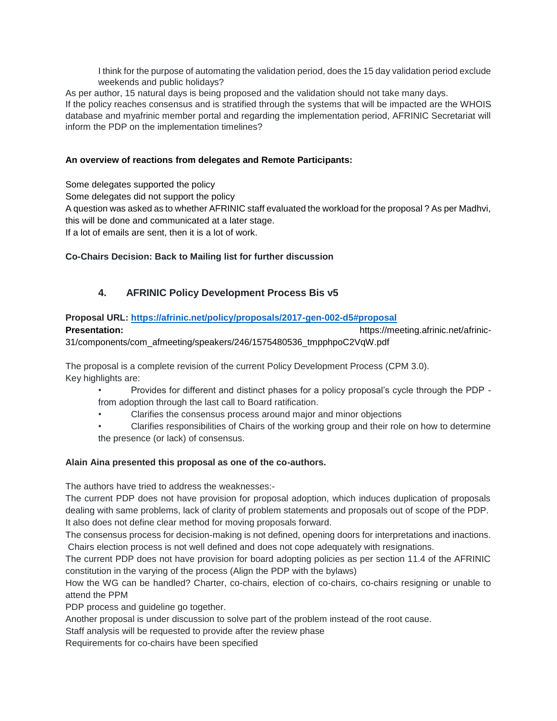I think for the purpose of automating the validation period, does the 15 day validation period exclude weekends and public holidays?

As per author, 15 natural days is being proposed and the validation should not take many days.

If the policy reaches consensus and is stratified through the systems that will be impacted are the WHOIS database and myafrinic member portal and regarding the implementation period, AFRINIC Secretariat will inform the PDP on the implementation timelines?

# **An overview of reactions from delegates and Remote Participants:**

Some delegates supported the policy

Some delegates did not support the policy

A question was asked as to whether AFRINIC staff evaluated the workload for the proposal ? As per Madhvi, this will be done and communicated at a later stage.

If a lot of emails are sent, then it is a lot of work.

# **Co-Chairs Decision: Back to Mailing list for further discussion**

# **4. AFRINIC Policy Development Process Bis v5**

# **Proposal URL:<https://afrinic.net/policy/proposals/2017-gen-002-d5#proposal>**

**Presentation: Presentation: https://meeting.afrinic.net/afrinic-**31/components/com\_afmeeting/speakers/246/1575480536\_tmpphpoC2VqW.pdf

The proposal is a complete revision of the current Policy Development Process (CPM 3.0). Key highlights are:

- Provides for different and distinct phases for a policy proposal's cycle through the PDP from adoption through the last call to Board ratification.
- Clarifies the consensus process around major and minor objections
- Clarifies responsibilities of Chairs of the working group and their role on how to determine the presence (or lack) of consensus.

# **Alain Aina presented this proposal as one of the co-authors.**

The authors have tried to address the weaknesses:-

The current PDP does not have provision for proposal adoption, which induces duplication of proposals dealing with same problems, lack of clarity of problem statements and proposals out of scope of the PDP. It also does not define clear method for moving proposals forward.

The consensus process for decision-making is not defined, opening doors for interpretations and inactions. Chairs election process is not well defined and does not cope adequately with resignations.

The current PDP does not have provision for board adopting policies as per section 11.4 of the AFRINIC constitution in the varying of the process (Align the PDP with the bylaws)

How the WG can be handled? Charter, co-chairs, election of co-chairs, co-chairs resigning or unable to attend the PPM

PDP process and guideline go together.

Another proposal is under discussion to solve part of the problem instead of the root cause.

Staff analysis will be requested to provide after the review phase

Requirements for co-chairs have been specified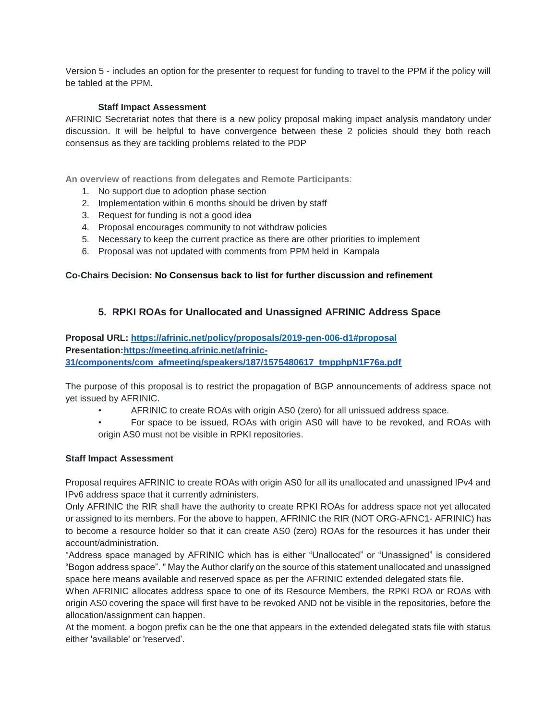Version 5 - includes an option for the presenter to request for funding to travel to the PPM if the policy will be tabled at the PPM.

### **Staff Impact Assessment**

AFRINIC Secretariat notes that there is a new policy proposal making impact analysis mandatory under discussion. It will be helpful to have convergence between these 2 policies should they both reach consensus as they are tackling problems related to the PDP

**An overview of reactions from delegates and Remote Participants**:

- 1. No support due to adoption phase section
- 2. Implementation within 6 months should be driven by staff
- 3. Request for funding is not a good idea
- 4. Proposal encourages community to not withdraw policies
- 5. Necessary to keep the current practice as there are other priorities to implement
- 6. Proposal was not updated with comments from PPM held in Kampala

# **Co-Chairs Decision: No Consensus back to list for further discussion and refinement**

# **5. RPKI ROAs for Unallocated and Unassigned AFRINIC Address Space**

**Proposal URL:<https://afrinic.net/policy/proposals/2019-gen-006-d1#proposal> Presentation[:https://meeting.afrinic.net/afrinic-](https://meeting.afrinic.net/afrinic-31/components/com_afmeeting/speakers/187/1575480617_tmpphpN1F76a.pdf)[31/components/com\\_afmeeting/speakers/187/1575480617\\_tmpphpN1F76a.pdf](https://meeting.afrinic.net/afrinic-31/components/com_afmeeting/speakers/187/1575480617_tmpphpN1F76a.pdf)**

The purpose of this proposal is to restrict the propagation of BGP announcements of address space not yet issued by AFRINIC.

- AFRINIC to create ROAs with origin AS0 (zero) for all unissued address space.
- For space to be issued, ROAs with origin AS0 will have to be revoked, and ROAs with origin AS0 must not be visible in RPKI repositories.

#### **Staff Impact Assessment**

Proposal requires AFRINIC to create ROAs with origin AS0 for all its unallocated and unassigned IPv4 and IPv6 address space that it currently administers.

Only AFRINIC the RIR shall have the authority to create RPKI ROAs for address space not yet allocated or assigned to its members. For the above to happen, AFRINIC the RIR (NOT ORG-AFNC1- AFRINIC) has to become a resource holder so that it can create AS0 (zero) ROAs for the resources it has under their account/administration.

"Address space managed by AFRINIC which has is either "Unallocated" or "Unassigned" is considered "Bogon address space". " May the Author clarify on the source of this statement unallocated and unassigned space here means available and reserved space as per the AFRINIC extended delegated stats file.

When AFRINIC allocates address space to one of its Resource Members, the RPKI ROA or ROAs with origin AS0 covering the space will first have to be revoked AND not be visible in the repositories, before the allocation/assignment can happen.

At the moment, a bogon prefix can be the one that appears in the extended delegated stats file with status either 'available' or 'reserved'.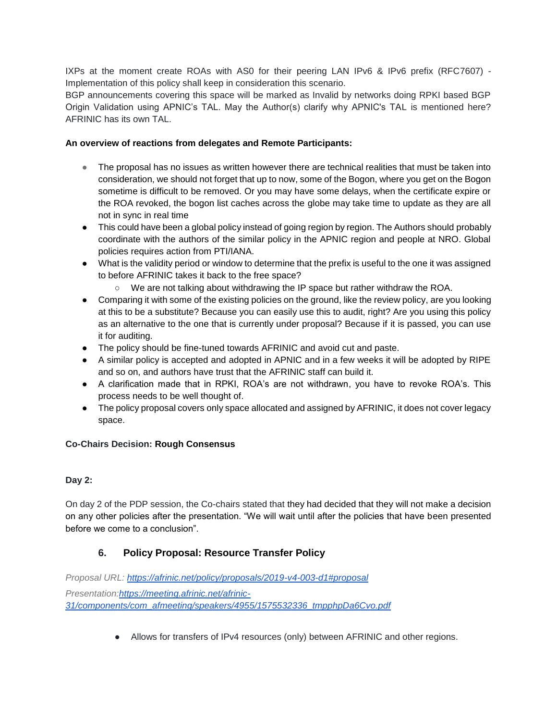IXPs at the moment create ROAs with AS0 for their peering LAN IPv6 & IPv6 prefix (RFC7607) - Implementation of this policy shall keep in consideration this scenario.

BGP announcements covering this space will be marked as Invalid by networks doing RPKI based BGP Origin Validation using APNIC's TAL. May the Author(s) clarify why APNIC's TAL is mentioned here? AFRINIC has its own TAL.

# **An overview of reactions from delegates and Remote Participants:**

- The proposal has no issues as written however there are technical realities that must be taken into consideration, we should not forget that up to now, some of the Bogon, where you get on the Bogon sometime is difficult to be removed. Or you may have some delays, when the certificate expire or the ROA revoked, the bogon list caches across the globe may take time to update as they are all not in sync in real time
- This could have been a global policy instead of going region by region. The Authors should probably coordinate with the authors of the similar policy in the APNIC region and people at NRO. Global policies requires action from PTI/IANA.
- What is the validity period or window to determine that the prefix is useful to the one it was assigned to before AFRINIC takes it back to the free space?
	- We are not talking about withdrawing the IP space but rather withdraw the ROA.
- Comparing it with some of the existing policies on the ground, like the review policy, are you looking at this to be a substitute? Because you can easily use this to audit, right? Are you using this policy as an alternative to the one that is currently under proposal? Because if it is passed, you can use it for auditing.
- The policy should be fine-tuned towards AFRINIC and avoid cut and paste.
- A similar policy is accepted and adopted in APNIC and in a few weeks it will be adopted by RIPE and so on, and authors have trust that the AFRINIC staff can build it.
- A clarification made that in RPKI, ROA's are not withdrawn, you have to revoke ROA's. This process needs to be well thought of.
- The policy proposal covers only space allocated and assigned by AFRINIC, it does not cover legacy space.

# **Co-Chairs Decision: Rough Consensus**

# **Day 2:**

On day 2 of the PDP session, the Co-chairs stated that they had decided that they will not make a decision on any other policies after the presentation. "We will wait until after the policies that have been presented before we come to a conclusion".

# **6. Policy Proposal: Resource Transfer Policy**

*Proposal URL:<https://afrinic.net/policy/proposals/2019-v4-003-d1#proposal> Presentation[:https://meeting.afrinic.net/afrinic-](https://meeting.afrinic.net/afrinic-31/components/com_afmeeting/speakers/4955/1575532336_tmpphpDa6Cvo.pdf)[31/components/com\\_afmeeting/speakers/4955/1575532336\\_tmpphpDa6Cvo.pdf](https://meeting.afrinic.net/afrinic-31/components/com_afmeeting/speakers/4955/1575532336_tmpphpDa6Cvo.pdf)*

● Allows for transfers of IPv4 resources (only) between AFRINIC and other regions.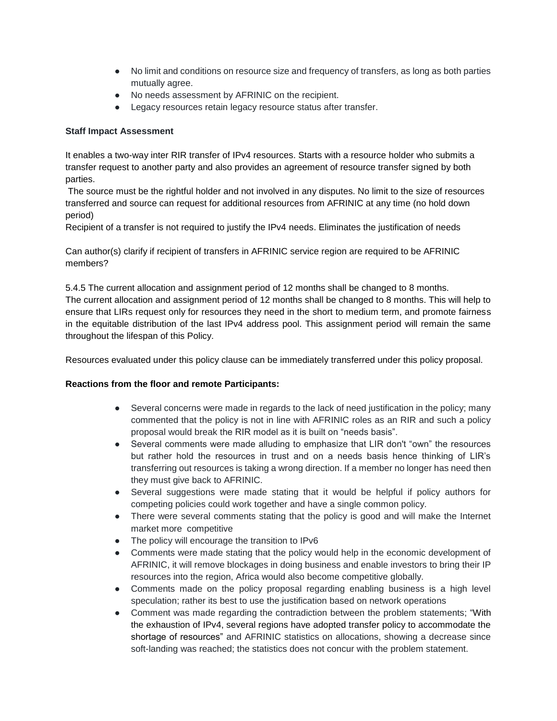- No limit and conditions on resource size and frequency of transfers, as long as both parties mutually agree.
- No needs assessment by AFRINIC on the recipient.
- Legacy resources retain legacy resource status after transfer.

# **Staff Impact Assessment**

It enables a two-way inter RIR transfer of IPv4 resources. Starts with a resource holder who submits a transfer request to another party and also provides an agreement of resource transfer signed by both parties.

The source must be the rightful holder and not involved in any disputes. No limit to the size of resources transferred and source can request for additional resources from AFRINIC at any time (no hold down period)

Recipient of a transfer is not required to justify the IPv4 needs. Eliminates the justification of needs

Can author(s) clarify if recipient of transfers in AFRINIC service region are required to be AFRINIC members?

5.4.5 The current allocation and assignment period of 12 months shall be changed to 8 months. The current allocation and assignment period of 12 months shall be changed to 8 months. This will help to ensure that LIRs request only for resources they need in the short to medium term, and promote fairness in the equitable distribution of the last IPv4 address pool. This assignment period will remain the same throughout the lifespan of this Policy.

Resources evaluated under this policy clause can be immediately transferred under this policy proposal.

# **Reactions from the floor and remote Participants:**

- Several concerns were made in regards to the lack of need justification in the policy; many commented that the policy is not in line with AFRINIC roles as an RIR and such a policy proposal would break the RIR model as it is built on "needs basis".
- Several comments were made alluding to emphasize that LIR don't "own" the resources but rather hold the resources in trust and on a needs basis hence thinking of LIR's transferring out resources is taking a wrong direction. If a member no longer has need then they must give back to AFRINIC.
- Several suggestions were made stating that it would be helpful if policy authors for competing policies could work together and have a single common policy.
- There were several comments stating that the policy is good and will make the Internet market more competitive
- The policy will encourage the transition to IPv6
- Comments were made stating that the policy would help in the economic development of AFRINIC, it will remove blockages in doing business and enable investors to bring their IP resources into the region, Africa would also become competitive globally.
- Comments made on the policy proposal regarding enabling business is a high level speculation; rather its best to use the justification based on network operations
- Comment was made regarding the contradiction between the problem statements; "With the exhaustion of IPv4, several regions have adopted transfer policy to accommodate the shortage of resources" and AFRINIC statistics on allocations, showing a decrease since soft-landing was reached; the statistics does not concur with the problem statement.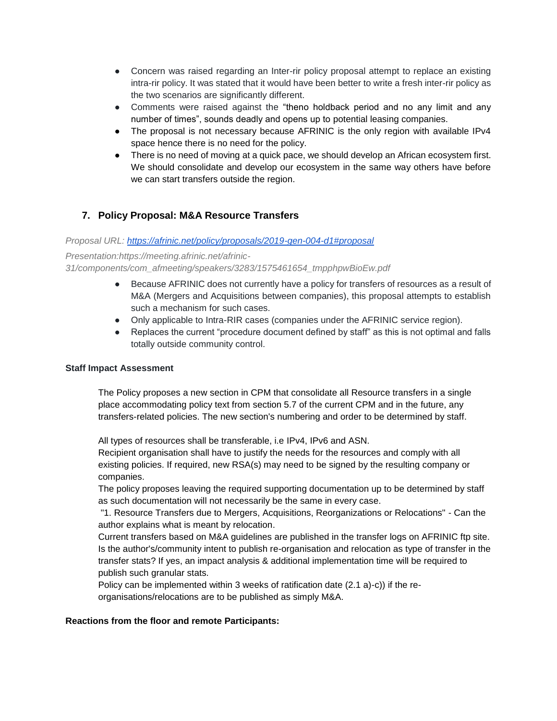- Concern was raised regarding an Inter-rir policy proposal attempt to replace an existing intra-rir policy. It was stated that it would have been better to write a fresh inter-rir policy as the two scenarios are significantly different.
- Comments were raised against the "theno holdback period and no any limit and any number of times", sounds deadly and opens up to potential leasing companies.
- The proposal is not necessary because AFRINIC is the only region with available IPv4 space hence there is no need for the policy.
- There is no need of moving at a quick pace, we should develop an African ecosystem first. We should consolidate and develop our ecosystem in the same way others have before we can start transfers outside the region.

# **7. Policy Proposal: M&A Resource Transfers**

# *Proposal URL:<https://afrinic.net/policy/proposals/2019-gen-004-d1#proposal>*

*Presentation:https://meeting.afrinic.net/afrinic-31/components/com\_afmeeting/speakers/3283/1575461654\_tmpphpwBioEw.pdf*

- Because AFRINIC does not currently have a policy for transfers of resources as a result of M&A (Mergers and Acquisitions between companies), this proposal attempts to establish such a mechanism for such cases.
- Only applicable to Intra-RIR cases (companies under the AFRINIC service region).
- Replaces the current "procedure document defined by staff" as this is not optimal and falls totally outside community control.

#### **Staff Impact Assessment**

The Policy proposes a new section in CPM that consolidate all Resource transfers in a single place accommodating policy text from section 5.7 of the current CPM and in the future, any transfers-related policies. The new section's numbering and order to be determined by staff.

All types of resources shall be transferable, i.e IPv4, IPv6 and ASN.

Recipient organisation shall have to justify the needs for the resources and comply with all existing policies. If required, new RSA(s) may need to be signed by the resulting company or companies.

The policy proposes leaving the required supporting documentation up to be determined by staff as such documentation will not necessarily be the same in every case.

"1. Resource Transfers due to Mergers, Acquisitions, Reorganizations or Relocations" - Can the author explains what is meant by relocation.

Current transfers based on M&A guidelines are published in the transfer logs on AFRINIC ftp site. Is the author's/community intent to publish re-organisation and relocation as type of transfer in the transfer stats? If yes, an impact analysis & additional implementation time will be required to publish such granular stats.

Policy can be implemented within 3 weeks of ratification date (2.1 a)-c)) if the reorganisations/relocations are to be published as simply M&A.

# **Reactions from the floor and remote Participants:**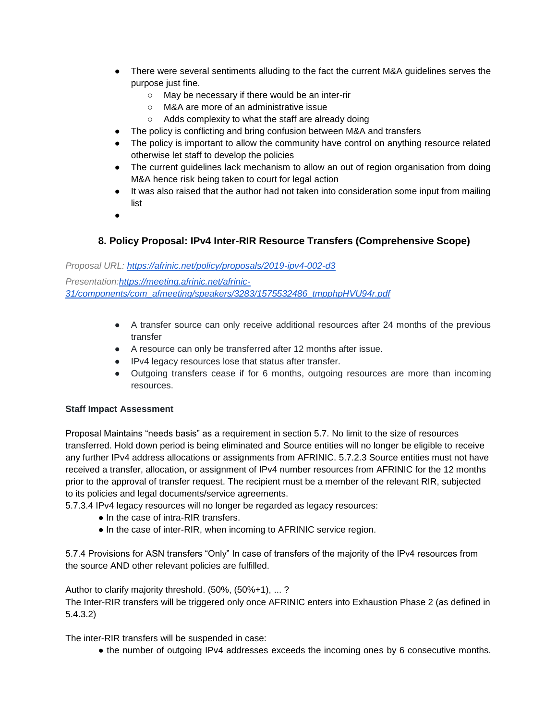- There were several sentiments alluding to the fact the current M&A guidelines serves the purpose just fine.
	- May be necessary if there would be an inter-rir
	- M&A are more of an administrative issue
	- Adds complexity to what the staff are already doing
- The policy is conflicting and bring confusion between M&A and transfers
- The policy is important to allow the community have control on anything resource related otherwise let staff to develop the policies
- The current guidelines lack mechanism to allow an out of region organisation from doing M&A hence risk being taken to court for legal action
- It was also raised that the author had not taken into consideration some input from mailing list
- ●

# **8. Policy Proposal: IPv4 Inter-RIR Resource Transfers (Comprehensive Scope)**

# *Proposal URL:<https://afrinic.net/policy/proposals/2019-ipv4-002-d3> Presentation:https://meeting.afrinic.net/afrinic-31/components/com\_afmeeting/speakers/3283/1575532486\_tmpphpHVU94r.pdf*

- A transfer source can only receive additional resources after 24 months of the previous transfer
- A resource can only be transferred after 12 months after issue.
- IPv4 legacy resources lose that status after transfer.
- Outgoing transfers cease if for 6 months, outgoing resources are more than incoming resources.

# **Staff Impact Assessment**

Proposal Maintains "needs basis" as a requirement in section 5.7. No limit to the size of resources transferred. Hold down period is being eliminated and Source entities will no longer be eligible to receive any further IPv4 address allocations or assignments from AFRINIC. 5.7.2.3 Source entities must not have received a transfer, allocation, or assignment of IPv4 number resources from AFRINIC for the 12 months prior to the approval of transfer request. The recipient must be a member of the relevant RIR, subjected to its policies and legal documents/service agreements.

5.7.3.4 IPv4 legacy resources will no longer be regarded as legacy resources:

- In the case of intra-RIR transfers.
- In the case of inter-RIR, when incoming to AFRINIC service region.

5.7.4 Provisions for ASN transfers "Only" In case of transfers of the majority of the IPv4 resources from the source AND other relevant policies are fulfilled.

Author to clarify majority threshold. (50%, (50%+1), ... ? The Inter-RIR transfers will be triggered only once AFRINIC enters into Exhaustion Phase 2 (as defined in 5.4.3.2)

The inter-RIR transfers will be suspended in case:

● the number of outgoing IPv4 addresses exceeds the incoming ones by 6 consecutive months.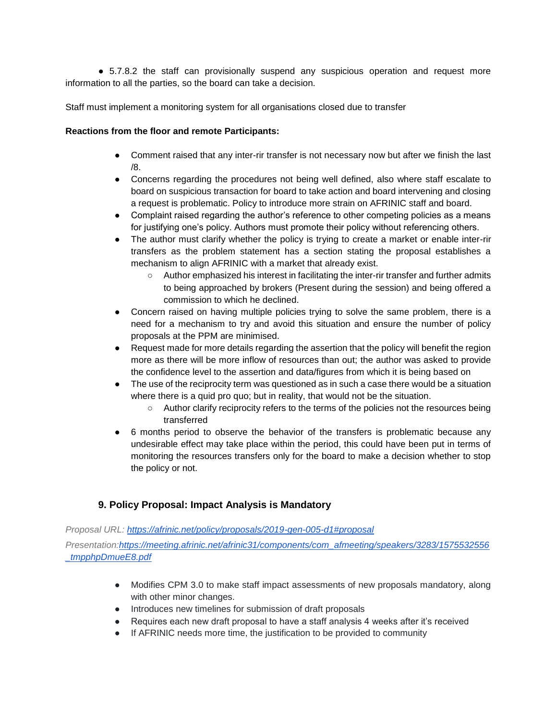● 5.7.8.2 the staff can provisionally suspend any suspicious operation and request more information to all the parties, so the board can take a decision.

Staff must implement a monitoring system for all organisations closed due to transfer

#### **Reactions from the floor and remote Participants:**

- Comment raised that any inter-rir transfer is not necessary now but after we finish the last /8.
- Concerns regarding the procedures not being well defined, also where staff escalate to board on suspicious transaction for board to take action and board intervening and closing a request is problematic. Policy to introduce more strain on AFRINIC staff and board.
- Complaint raised regarding the author's reference to other competing policies as a means for justifying one's policy. Authors must promote their policy without referencing others.
- The author must clarify whether the policy is trying to create a market or enable inter-rir transfers as the problem statement has a section stating the proposal establishes a mechanism to align AFRINIC with a market that already exist.
	- Author emphasized his interest in facilitating the inter-rir transfer and further admits to being approached by brokers (Present during the session) and being offered a commission to which he declined.
- Concern raised on having multiple policies trying to solve the same problem, there is a need for a mechanism to try and avoid this situation and ensure the number of policy proposals at the PPM are minimised.
- Request made for more details regarding the assertion that the policy will benefit the region more as there will be more inflow of resources than out; the author was asked to provide the confidence level to the assertion and data/figures from which it is being based on
- The use of the reciprocity term was questioned as in such a case there would be a situation where there is a quid pro quo; but in reality, that would not be the situation.
	- Author clarify reciprocity refers to the terms of the policies not the resources being transferred
- 6 months period to observe the behavior of the transfers is problematic because any undesirable effect may take place within the period, this could have been put in terms of monitoring the resources transfers only for the board to make a decision whether to stop the policy or not.

# **9. Policy Proposal: Impact Analysis is Mandatory**

*Proposal URL:<https://afrinic.net/policy/proposals/2019-gen-005-d1#proposal>*

*Presentation:https://meeting.afrinic.net/afrinic31/components/com\_afmeeting/speakers/3283/1575532556 \_tmpphpDmueE8.pdf*

- Modifies CPM 3.0 to make staff impact assessments of new proposals mandatory, along with other minor changes.
- Introduces new timelines for submission of draft proposals
- Requires each new draft proposal to have a staff analysis 4 weeks after it's received
- If AFRINIC needs more time, the justification to be provided to community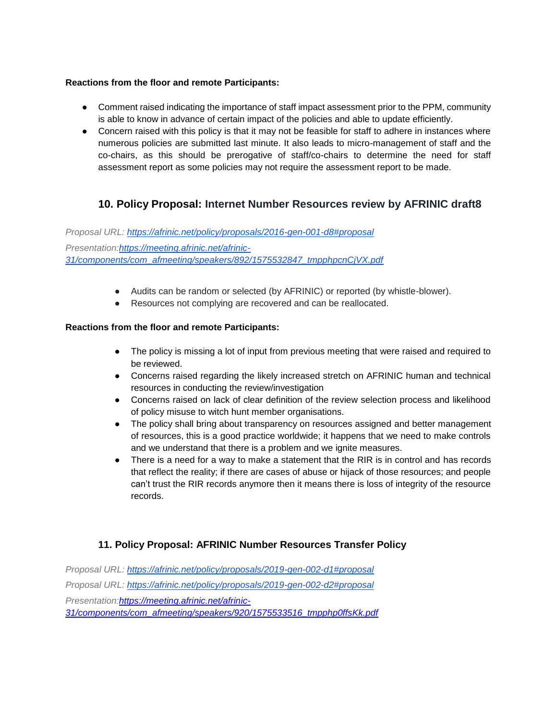# **Reactions from the floor and remote Participants:**

- Comment raised indicating the importance of staff impact assessment prior to the PPM, community is able to know in advance of certain impact of the policies and able to update efficiently.
- Concern raised with this policy is that it may not be feasible for staff to adhere in instances where numerous policies are submitted last minute. It also leads to micro-management of staff and the co-chairs, as this should be prerogative of staff/co-chairs to determine the need for staff assessment report as some policies may not require the assessment report to be made.

# **10. Policy Proposal: Internet Number Resources review by AFRINIC draft8**

*Proposal URL:<https://afrinic.net/policy/proposals/2016-gen-001-d8#proposal> Presentation[:https://meeting.afrinic.net/afrinic-](https://meeting.afrinic.net/afrinic-31/components/com_afmeeting/speakers/892/1575532847_tmpphpcnCjVX.pdf)[31/components/com\\_afmeeting/speakers/892/1575532847\\_tmpphpcnCjVX.pdf](https://meeting.afrinic.net/afrinic-31/components/com_afmeeting/speakers/892/1575532847_tmpphpcnCjVX.pdf)*

- Audits can be random or selected (by AFRINIC) or reported (by whistle-blower).
- Resources not complying are recovered and can be reallocated.

# **Reactions from the floor and remote Participants:**

- The policy is missing a lot of input from previous meeting that were raised and required to be reviewed.
- Concerns raised regarding the likely increased stretch on AFRINIC human and technical resources in conducting the review/investigation
- Concerns raised on lack of clear definition of the review selection process and likelihood of policy misuse to witch hunt member organisations.
- The policy shall bring about transparency on resources assigned and better management of resources, this is a good practice worldwide; it happens that we need to make controls and we understand that there is a problem and we ignite measures.
- There is a need for a way to make a statement that the RIR is in control and has records that reflect the reality; if there are cases of abuse or hijack of those resources; and people can't trust the RIR records anymore then it means there is loss of integrity of the resource records.

# **11. Policy Proposal: AFRINIC Number Resources Transfer Policy**

*Proposal URL:<https://afrinic.net/policy/proposals/2019-gen-002-d1#proposal> Proposal URL:<https://afrinic.net/policy/proposals/2019-gen-002-d2#proposal> Presentation[:https://meeting.afrinic.net/afrinic-](https://meeting.afrinic.net/afrinic-31/components/com_afmeeting/speakers/920/1575533516_tmpphp0ffsKk.pdf)[31/components/com\\_afmeeting/speakers/920/1575533516\\_tmpphp0ffsKk.pdf](https://meeting.afrinic.net/afrinic-31/components/com_afmeeting/speakers/920/1575533516_tmpphp0ffsKk.pdf)*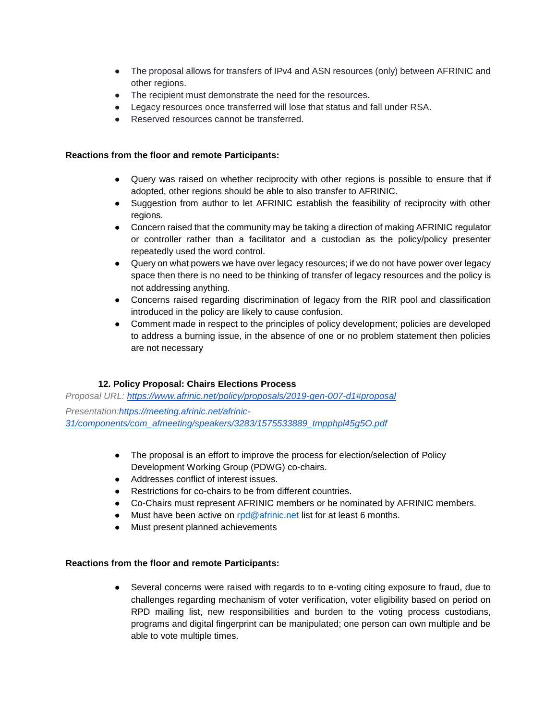- The proposal allows for transfers of IPv4 and ASN resources (only) between AFRINIC and other regions.
- The recipient must demonstrate the need for the resources.
- Legacy resources once transferred will lose that status and fall under RSA.
- Reserved resources cannot be transferred.

### **Reactions from the floor and remote Participants:**

- Query was raised on whether reciprocity with other regions is possible to ensure that if adopted, other regions should be able to also transfer to AFRINIC.
- Suggestion from author to let AFRINIC establish the feasibility of reciprocity with other regions.
- Concern raised that the community may be taking a direction of making AFRINIC regulator or controller rather than a facilitator and a custodian as the policy/policy presenter repeatedly used the word control.
- Query on what powers we have over legacy resources; if we do not have power over legacy space then there is no need to be thinking of transfer of legacy resources and the policy is not addressing anything.
- Concerns raised regarding discrimination of legacy from the RIR pool and classification introduced in the policy are likely to cause confusion.
- Comment made in respect to the principles of policy development; policies are developed to address a burning issue, in the absence of one or no problem statement then policies are not necessary

# **12. Policy Proposal: Chairs Elections Process**

*Proposal URL:<https://www.afrinic.net/policy/proposals/2019-gen-007-d1#proposal> Presentation[:https://meeting.afrinic.net/afrinic-](https://meeting.afrinic.net/afrinic-31/components/com_afmeeting/speakers/3283/1575533889_tmpphpl45g5O.pdf)[31/components/com\\_afmeeting/speakers/3283/1575533889\\_tmpphpl45g5O.pdf](https://meeting.afrinic.net/afrinic-31/components/com_afmeeting/speakers/3283/1575533889_tmpphpl45g5O.pdf)*

- The proposal is an effort to improve the process for election/selection of Policy Development Working Group (PDWG) co-chairs.
- Addresses conflict of interest issues
- Restrictions for co-chairs to be from different countries.
- Co-Chairs must represent AFRINIC members or be nominated by AFRINIC members.
- Must have been active on rpd@afrinic.net list for at least 6 months.
- Must present planned achievements

# **Reactions from the floor and remote Participants:**

● Several concerns were raised with regards to to e-voting citing exposure to fraud, due to challenges regarding mechanism of voter verification, voter eligibility based on period on RPD mailing list, new responsibilities and burden to the voting process custodians, programs and digital fingerprint can be manipulated; one person can own multiple and be able to vote multiple times.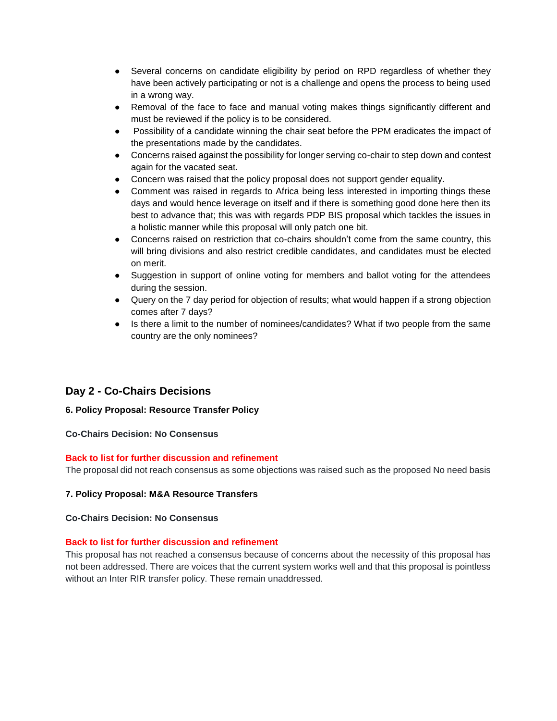- Several concerns on candidate eligibility by period on RPD regardless of whether they have been actively participating or not is a challenge and opens the process to being used in a wrong way.
- Removal of the face to face and manual voting makes things significantly different and must be reviewed if the policy is to be considered.
- Possibility of a candidate winning the chair seat before the PPM eradicates the impact of the presentations made by the candidates.
- Concerns raised against the possibility for longer serving co-chair to step down and contest again for the vacated seat.
- Concern was raised that the policy proposal does not support gender equality.
- Comment was raised in regards to Africa being less interested in importing things these days and would hence leverage on itself and if there is something good done here then its best to advance that; this was with regards PDP BIS proposal which tackles the issues in a holistic manner while this proposal will only patch one bit.
- Concerns raised on restriction that co-chairs shouldn't come from the same country, this will bring divisions and also restrict credible candidates, and candidates must be elected on merit.
- Suggestion in support of online voting for members and ballot voting for the attendees during the session.
- Query on the 7 day period for objection of results; what would happen if a strong objection comes after 7 days?
- Is there a limit to the number of nominees/candidates? What if two people from the same country are the only nominees?

# **Day 2 - Co-Chairs Decisions**

# **6. Policy Proposal: Resource Transfer Policy**

# **Co-Chairs Decision: No Consensus**

# **Back to list for further discussion and refinement**

The proposal did not reach consensus as some objections was raised such as the proposed No need basis

# **7. Policy Proposal: M&A Resource Transfers**

#### **Co-Chairs Decision: No Consensus**

#### **Back to list for further discussion and refinement**

This proposal has not reached a consensus because of concerns about the necessity of this proposal has not been addressed. There are voices that the current system works well and that this proposal is pointless without an Inter RIR transfer policy. These remain unaddressed.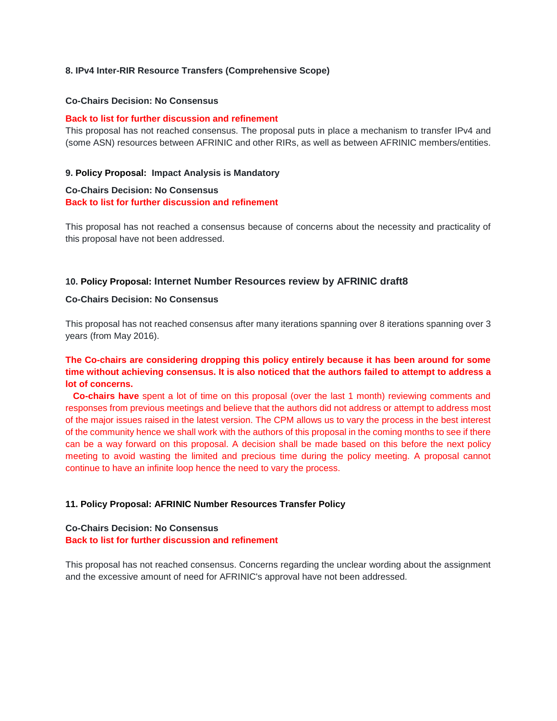#### **8. IPv4 Inter-RIR Resource Transfers (Comprehensive Scope)**

#### **Co-Chairs Decision: No Consensus**

#### **Back to list for further discussion and refinement**

This proposal has not reached consensus. The proposal puts in place a mechanism to transfer IPv4 and (some ASN) resources between AFRINIC and other RIRs, as well as between AFRINIC members/entities.

#### **9. Policy Proposal: Impact Analysis is Mandatory**

# **Co-Chairs Decision: No Consensus Back to list for further discussion and refinement**

This proposal has not reached a consensus because of concerns about the necessity and practicality of this proposal have not been addressed.

#### **10. Policy Proposal: Internet Number Resources review by AFRINIC draft8**

#### **Co-Chairs Decision: No Consensus**

This proposal has not reached consensus after many iterations spanning over 8 iterations spanning over 3 years (from May 2016).

# **The Co-chairs are considering dropping this policy entirely because it has been around for some time without achieving consensus. It is also noticed that the authors failed to attempt to address a lot of concerns.**

 **Co-chairs have** spent a lot of time on this proposal (over the last 1 month) reviewing comments and responses from previous meetings and believe that the authors did not address or attempt to address most of the major issues raised in the latest version. The CPM allows us to vary the process in the best interest of the community hence we shall work with the authors of this proposal in the coming months to see if there can be a way forward on this proposal. A decision shall be made based on this before the next policy meeting to avoid wasting the limited and precious time during the policy meeting. A proposal cannot continue to have an infinite loop hence the need to vary the process.

#### **11. Policy Proposal: AFRINIC Number Resources Transfer Policy**

# **Co-Chairs Decision: No Consensus Back to list for further discussion and refinement**

This proposal has not reached consensus. Concerns regarding the unclear wording about the assignment and the excessive amount of need for AFRINIC's approval have not been addressed.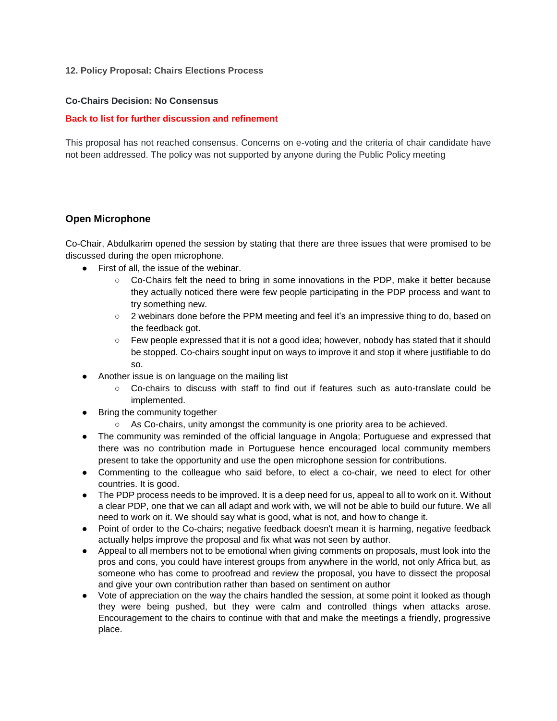#### **12. Policy Proposal: Chairs Elections Process**

#### **Co-Chairs Decision: No Consensus**

#### **Back to list for further discussion and refinement**

This proposal has not reached consensus. Concerns on e-voting and the criteria of chair candidate have not been addressed. The policy was not supported by anyone during the Public Policy meeting

#### **Open Microphone**

Co-Chair, Abdulkarim opened the session by stating that there are three issues that were promised to be discussed during the open microphone.

- First of all, the issue of the webinar.
	- Co-Chairs felt the need to bring in some innovations in the PDP, make it better because they actually noticed there were few people participating in the PDP process and want to try something new.
	- 2 webinars done before the PPM meeting and feel it's an impressive thing to do, based on the feedback got.
	- Few people expressed that it is not a good idea; however, nobody has stated that it should be stopped. Co-chairs sought input on ways to improve it and stop it where justifiable to do so.
- Another issue is on language on the mailing list
	- Co-chairs to discuss with staff to find out if features such as auto-translate could be implemented.
- Bring the community together
	- As Co-chairs, unity amongst the community is one priority area to be achieved.
- The community was reminded of the official language in Angola; Portuguese and expressed that there was no contribution made in Portuguese hence encouraged local community members present to take the opportunity and use the open microphone session for contributions.
- Commenting to the colleague who said before, to elect a co-chair, we need to elect for other countries. It is good.
- The PDP process needs to be improved. It is a deep need for us, appeal to all to work on it. Without a clear PDP, one that we can all adapt and work with, we will not be able to build our future. We all need to work on it. We should say what is good, what is not, and how to change it.
- Point of order to the Co-chairs; negative feedback doesn't mean it is harming, negative feedback actually helps improve the proposal and fix what was not seen by author.
- Appeal to all members not to be emotional when giving comments on proposals, must look into the pros and cons, you could have interest groups from anywhere in the world, not only Africa but, as someone who has come to proofread and review the proposal, you have to dissect the proposal and give your own contribution rather than based on sentiment on author
- Vote of appreciation on the way the chairs handled the session, at some point it looked as though they were being pushed, but they were calm and controlled things when attacks arose. Encouragement to the chairs to continue with that and make the meetings a friendly, progressive place.